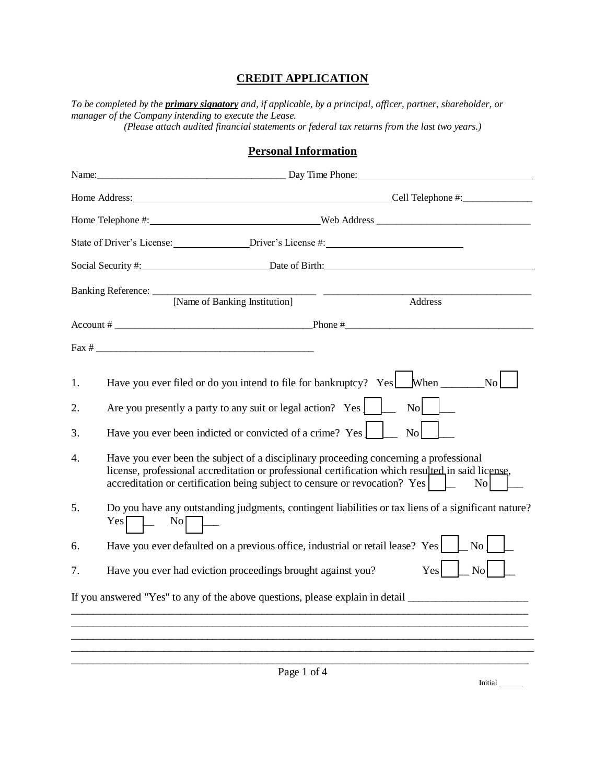## **CREDIT APPLICATION**

*To be completed by the primary signatory and, if applicable, by a principal, officer, partner, shareholder, or manager of the Company intending to execute the Lease. (Please attach audited financial statements or federal tax returns from the last two years.)* 

## **Personal Information**

|                |     | Social Security #: Date of Birth: Date of Birth:                                                                                                                                                                                                                                               |
|----------------|-----|------------------------------------------------------------------------------------------------------------------------------------------------------------------------------------------------------------------------------------------------------------------------------------------------|
|                |     | Banking Reference: [Name of Banking Institution]<br>Address                                                                                                                                                                                                                                    |
|                |     |                                                                                                                                                                                                                                                                                                |
|                |     |                                                                                                                                                                                                                                                                                                |
| 1.<br>2.<br>3. |     | Have you ever filed or do you intend to file for bankruptcy? $Yes \Box$ When $\Box$<br>No<br>Are you presently a party to any suit or legal action? Yes $\Box$<br>$\mathbf{N}$ o<br>Have you ever been indicted or convicted of a crime? Yes<br>No                                             |
| 4.             |     | Have you ever been the subject of a disciplinary proceeding concerning a professional<br>license, professional accreditation or professional certification which resulted in said license,<br>accreditation or certification being subject to censure or revocation? Yes<br>$\overline{N_{0}}$ |
| 5.             | Yes | Do you have any outstanding judgments, contingent liabilities or tax liens of a significant nature?<br>$\overline{N}$ o                                                                                                                                                                        |
| 6.             |     | Have you ever defaulted on a previous office, industrial or retail lease? Yes<br>No                                                                                                                                                                                                            |
| 7.             |     | Yes<br>Have you ever had eviction proceedings brought against you?<br>N <sub>o</sub>                                                                                                                                                                                                           |
|                |     | If you answered "Yes" to any of the above questions, please explain in detail ________________________________                                                                                                                                                                                 |
|                |     |                                                                                                                                                                                                                                                                                                |
|                |     |                                                                                                                                                                                                                                                                                                |
|                |     | Page 1 of 4<br>Initial                                                                                                                                                                                                                                                                         |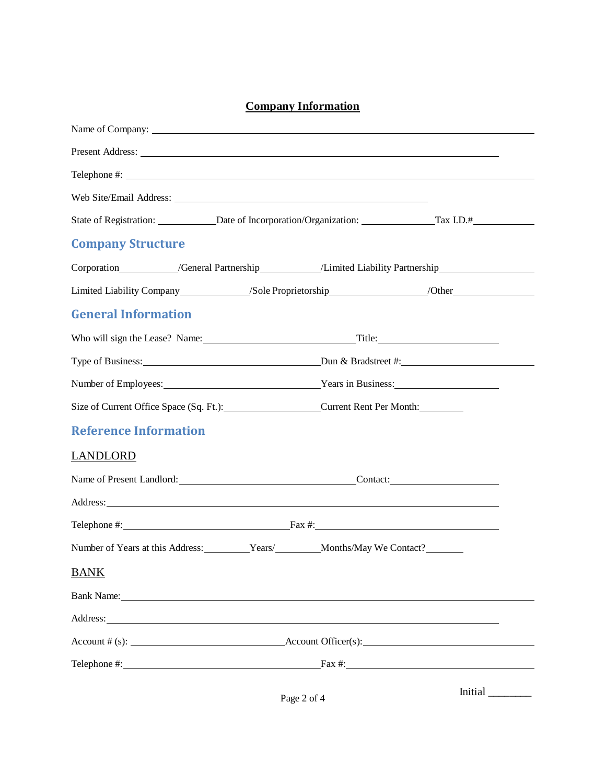# **Company Information**

| Name of Company:                                                                                                                                                                                                                     |             |  |  |  |
|--------------------------------------------------------------------------------------------------------------------------------------------------------------------------------------------------------------------------------------|-------------|--|--|--|
|                                                                                                                                                                                                                                      |             |  |  |  |
|                                                                                                                                                                                                                                      |             |  |  |  |
|                                                                                                                                                                                                                                      |             |  |  |  |
| State of Registration: Date of Incorporation/Organization: Tax I.D.#                                                                                                                                                                 |             |  |  |  |
| <b>Company Structure</b>                                                                                                                                                                                                             |             |  |  |  |
| Corporation____________/General Partnership_____________/Limited Liability Partnership______________                                                                                                                                 |             |  |  |  |
| Limited Liability Company_____________/Sole Proprietorship__________________/Other__________________                                                                                                                                 |             |  |  |  |
| <b>General Information</b>                                                                                                                                                                                                           |             |  |  |  |
|                                                                                                                                                                                                                                      |             |  |  |  |
|                                                                                                                                                                                                                                      |             |  |  |  |
| Number of Employees: <u>Nearly Nearly Nearly Nearly Nearly Nearly Nearly Nearly Nearly Nearly Nearly Nearly Nearly Nearly Nearly Nearly Nearly Nearly Nearly Nearly Nearly Nearly Nearly Nearly Nearly Nearly Nearly Nearly Near</u> |             |  |  |  |
| Size of Current Office Space (Sq. Ft.): Current Rent Per Month:                                                                                                                                                                      |             |  |  |  |
| <b>Reference Information</b>                                                                                                                                                                                                         |             |  |  |  |
| LANDLORD                                                                                                                                                                                                                             |             |  |  |  |
| Name of Present Landlord: Contact: Contact:                                                                                                                                                                                          |             |  |  |  |
| Address: <u>The Community of the Community of the Community of the Community of the Community of the Community of the Community of the Community of the Community of the Community of the Community of the Community of the Comm</u> |             |  |  |  |
|                                                                                                                                                                                                                                      |             |  |  |  |
| Number of Years at this Address: Years/ Months/May We Contact?                                                                                                                                                                       |             |  |  |  |
| <b>BANK</b>                                                                                                                                                                                                                          |             |  |  |  |
| Bank Name: Name and Second Second Second Second Second Second Second Second Second Second Second Second Second Second Second Second Second Second Second Second Second Second Second Second Second Second Second Second Second       |             |  |  |  |
| Address: No. 2014                                                                                                                                                                                                                    |             |  |  |  |
| $\text{Account #}(s):$ $\text{Account Officer}(s):$                                                                                                                                                                                  |             |  |  |  |
| Telephone $\#\colon$ Eax $\#\colon$ Eax $\#\colon$                                                                                                                                                                                   |             |  |  |  |
|                                                                                                                                                                                                                                      | Page 2 of 4 |  |  |  |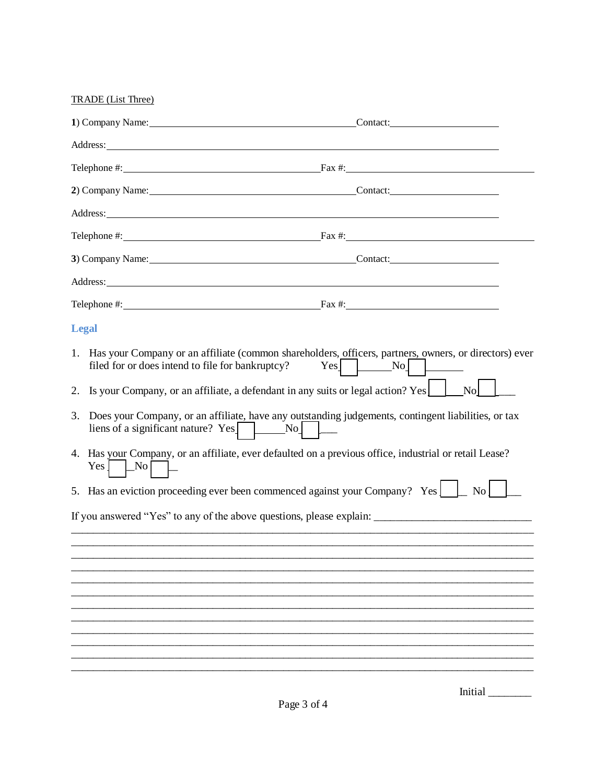TRADE (List Three)

|    | 1) Company Name: <u>contract and the set of the set of the set of the set of the set of the set of the set of the set of the set of the set of the set of the set of the set of the set of the set of the set of the set of the </u>                                                                                                      | Contact:             |  |
|----|-------------------------------------------------------------------------------------------------------------------------------------------------------------------------------------------------------------------------------------------------------------------------------------------------------------------------------------------|----------------------|--|
|    | Address: National Address: National Address: National Address: National Address: National Address: National Address: National Address: National Address: National Address: National Address: National Address: National Addres                                                                                                            |                      |  |
|    |                                                                                                                                                                                                                                                                                                                                           |                      |  |
|    | 2) Company Name: Contact: Contact:                                                                                                                                                                                                                                                                                                        |                      |  |
|    |                                                                                                                                                                                                                                                                                                                                           |                      |  |
|    | Telephone $\#$ : $\qquad \qquad$ $\qquad$ $\qquad$ $\qquad$ $\qquad$ $\qquad$ $\qquad$ $\qquad$ $\qquad$ $\qquad$ $\qquad$ $\qquad$ $\qquad$ $\qquad$ $\qquad$ $\qquad$ $\qquad$ $\qquad$ $\qquad$ $\qquad$ $\qquad$ $\qquad$ $\qquad$ $\qquad$ $\qquad$ $\qquad$ $\qquad$ $\qquad$ $\qquad$ $\qquad$ $\qquad$ $\qquad$ $\qquad$ $\qquad$ |                      |  |
|    | 3) Company Name: Contact: Contact:                                                                                                                                                                                                                                                                                                        |                      |  |
|    |                                                                                                                                                                                                                                                                                                                                           |                      |  |
|    | Telephone $\#$ : Fax $\#$ :                                                                                                                                                                                                                                                                                                               |                      |  |
|    | <b>Legal</b>                                                                                                                                                                                                                                                                                                                              |                      |  |
|    | Has your Company or an affiliate (common shareholders, officers, partners, owners, or directors) ever<br>1.<br>filed for or does intend to file for bankruptcy?<br>Yes <sub>l</sub>                                                                                                                                                       | $\lfloor No \rfloor$ |  |
| 2. | Is your Company, or an affiliate, a defendant in any suits or legal action? Yes                                                                                                                                                                                                                                                           | N <sub>o</sub>       |  |
| 3. | Does your Company, or an affiliate, have any outstanding judgements, contingent liabilities, or tax<br>liens of a significant nature? $Yes$ No $N_0$                                                                                                                                                                                      |                      |  |
|    | 4. Has your Company, or an affiliate, ever defaulted on a previous office, industrial or retail Lease?<br>Yes<br>No                                                                                                                                                                                                                       |                      |  |
|    | 5. Has an eviction proceeding ever been commenced against your Company? Yes                                                                                                                                                                                                                                                               | $\overline{N_{0}}$   |  |
|    |                                                                                                                                                                                                                                                                                                                                           |                      |  |
|    |                                                                                                                                                                                                                                                                                                                                           |                      |  |
|    |                                                                                                                                                                                                                                                                                                                                           |                      |  |
|    |                                                                                                                                                                                                                                                                                                                                           |                      |  |
|    |                                                                                                                                                                                                                                                                                                                                           |                      |  |
|    |                                                                                                                                                                                                                                                                                                                                           |                      |  |
|    |                                                                                                                                                                                                                                                                                                                                           |                      |  |
|    |                                                                                                                                                                                                                                                                                                                                           |                      |  |